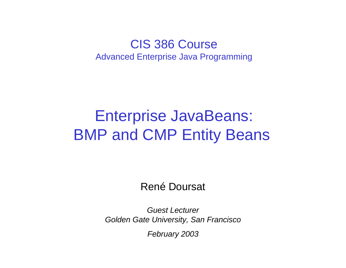#### CIS 386 CourseAdvanced Enterprise Java Programming

# Enterprise JavaBeans: BMP and CMP Entity Beans

René Doursat

*Guest LecturerGolden Gate University, San Francisco*

*February 2003*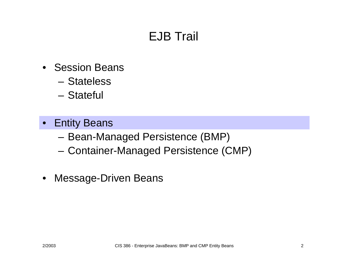## EJB Trail

- •Session Beans
	- –Stateless
	- –Stateful
- Entity Beans
	- Bean-Managed Persistence (BMP)
	- Container-Managed Persistence (CMP)
- Message-Driven Beans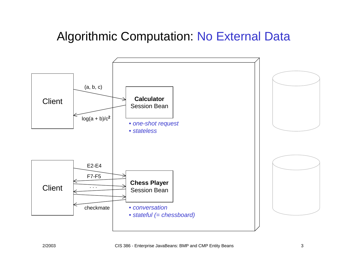#### Algorithmic Computation: No External Data

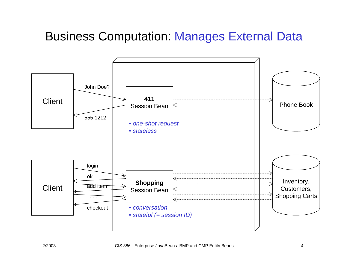#### Business Computation: Manages External Data

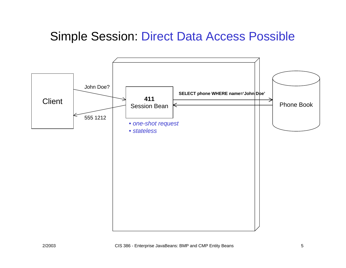#### Simple Session: Direct Data Access Possible

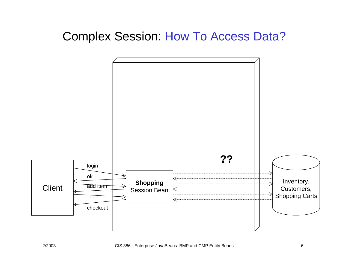#### Complex Session: How To Access Data?

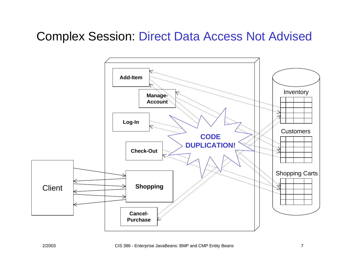#### Complex Session: Direct Data Access Not Advised

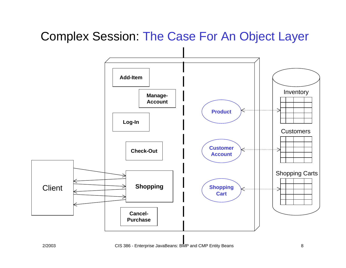#### Complex Session: The Case For An Object Layer

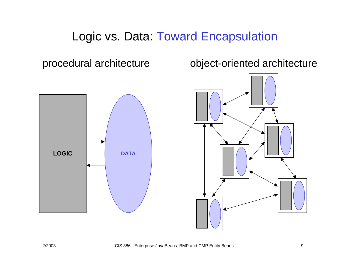#### Logic vs. Data: Toward Encapsulation



#### procedural architecture | object-oriented architecture

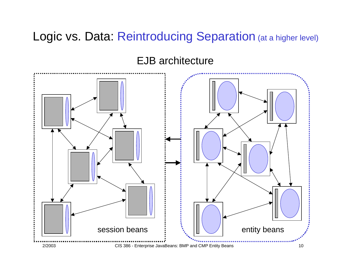#### Logic vs. Data: Reintroducing Separation (at a higher level)

#### EJB architecture

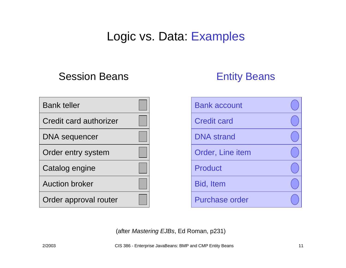#### Logic vs. Data: Examples

#### Session Beans

#### Entity Beans

Bank account



 Credit cardBid, Item

(after *Mastering EJBs*, Ed Roman, p231)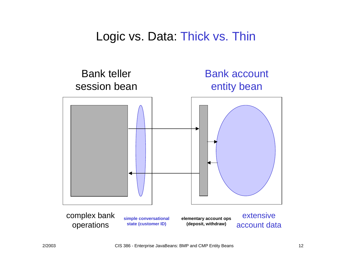#### Logic vs. Data: Thick vs. Thin

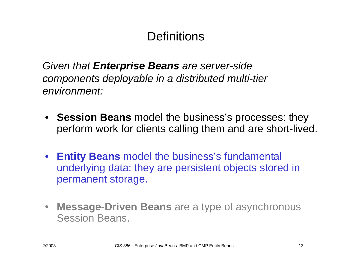#### **Definitions**

*Given that Enterprise Beans are server-side components deployable in a distributed multi-tier environment:*

- **Session Beans** model the business's processes: they perform work for clients calling them and are short-lived.
- **Entity Beans** model the business's fundamental underlying data: they are persistent objects stored in permanent storage.
- **Message-Driven Beans** are a type of asynchronous Session Beans.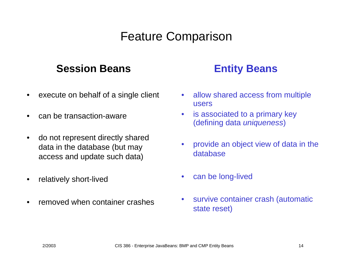### Feature Comparison

#### **Session Beans**

- •execute on behalf of a single client
- •can be transaction-aware
- $\bullet$  do not represent directly shared data in the database (but may access and update such data)
- •relatively short-lived
- •removed when container crashes

#### **Entity Beans**

- $\bullet$ allow shared access from multiple users
- $\bullet$  is associated to a primary key (defining data *uniqueness*)
- $\bullet$ provide an object view of data in the database
- •can be long-lived
- •survive container crash (automatic state reset)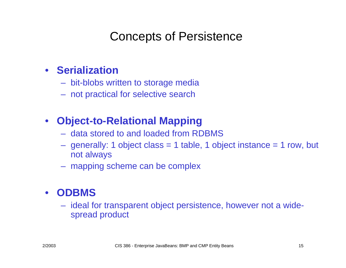#### Concepts of Persistence

#### • **Serialization**

- bit-blobs written to storage media
- not practical for selective search

#### •**Object-to-Relational Mapping**

- data stored to and loaded from RDBMS
- generally: 1 object class = 1 table, 1 object instance = 1 row, b ut not always
- mapping scheme can be complex

#### • **ODBMS**

 ideal for transparent object persistence, however not a widespread product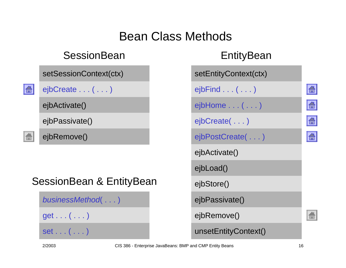### Bean Class Methods

#### **SessionBean**

| setSessionContext(ctx) |  | setEntityContext(ctx) |
|------------------------|--|-----------------------|
|------------------------|--|-----------------------|



 $ejbCreate \ldots (\ldots)$ 

ejbActivate()

ejbPassivate()

ejbRemove()

#### SessionBean & EntityBean

*businessMethod*( . . . )

 $get \ldots ( \ldots )$ 

set . . . ( . . . ) Set . . . ( . . . ) ansetEntityContext()

| LHIIYD <del>c</del> all          |
|----------------------------------|
| setEntityContext(ctx)            |
| $ej$ bFind $\ldots$ ( $\ldots$ ) |
| ejbHome ( )                      |
| ejbCreate()                      |
| ejbPostCreate()                  |
| ejbActivate()                    |
| ejbLoad()                        |
| ejbStore()                       |
| ejbPassivate()                   |
| ejbRemove()                      |
|                                  |

EntityBean

la

 $|\mathbf{G}|$ 

 $\boxed{\triangle}$ 

 $\mathbf{E}$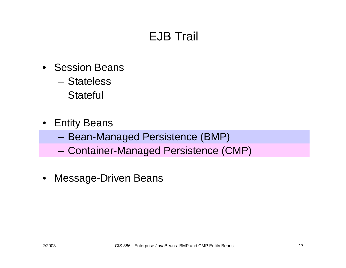## EJB Trail

- •Session Beans
	- –Stateless
	- –Stateful
- Entity Beans
	- Bean-Managed Persistence (BMP)
	- Container-Managed Persistence (CMP)
- Message-Driven Beans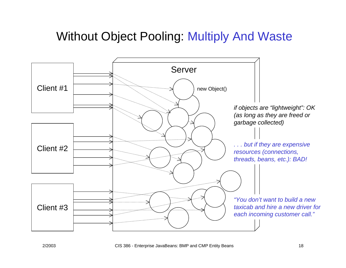#### Without Object Pooling: Multiply And Waste

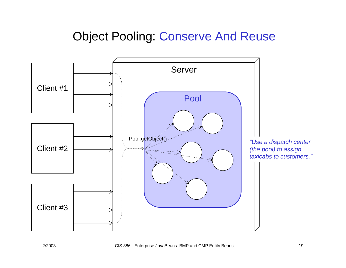#### Object Pooling: Conserve And Reuse

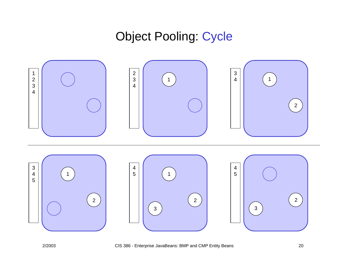#### Object Pooling: Cycle

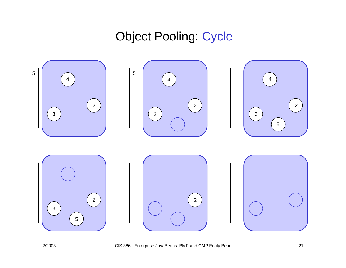### Object Pooling: Cycle

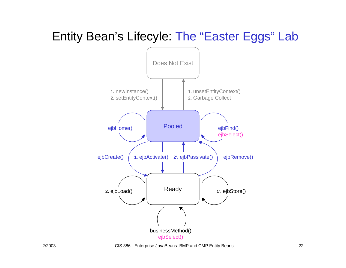### Entity Bean's Lifecyle: The "Easter Eggs" Lab



2/2003 CIS 386 - Enterprise JavaBeans: BMP and CMP Entity Beans 22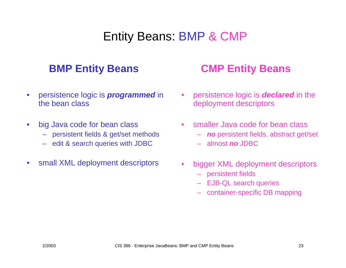#### Entity Beans: BMP & CMP

- • persistence logic is *programmed* in the bean class
- •big Java code for bean class
	- –persistent fields & get/set methods
	- edit & search queries with JDBC
- •small XML deployment descriptors

#### **BMP Entity Beans CMP Entity Beans**

- • persistence logic is *declared* in the deployment descriptors
- •smaller Java code for bean class
	- *no* persistent fields, abstract get/set
	- almost *no* JDBC
- •bigger XML deployment descriptors
	- persistent fields
	- EJB-QL search queries
	- container-specific DB mapping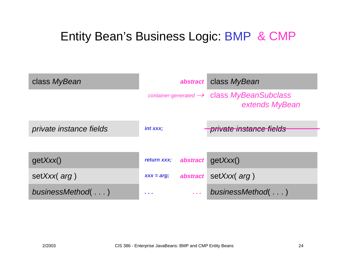## Entity Bean's Business Logic: BMP & CMP

| class MyBean            | abstract                       | class MyBean                                                                                  |
|-------------------------|--------------------------------|-----------------------------------------------------------------------------------------------|
|                         |                                | $\frac{1}{2}$ container-generated $\rightarrow$ <b>Class MyBeanSubclass</b><br>extends MyBean |
| private instance fields | int xxx;                       | private instance fields                                                                       |
|                         |                                |                                                                                               |
| getXXX()                | return xxx;<br>abstract        | getXXX()                                                                                      |
| setXxx( arg)            | abstract<br>$XXX = arg;$       | setXxx( arg)                                                                                  |
| businessMethod()        | $\alpha$ , $\alpha$ , $\alpha$ | businessMethod()                                                                              |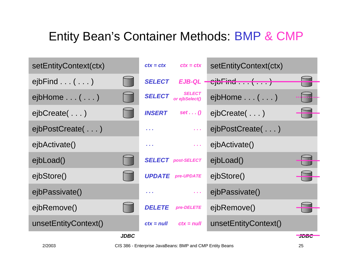| setEntityContext(ctx)            | $ctx = ctx$<br>$ctx = ctx$                                                              | setEntityContext(ctx)                                                                   |
|----------------------------------|-----------------------------------------------------------------------------------------|-----------------------------------------------------------------------------------------|
| $ej$ bFind $\ldots$ ( $\ldots$ ) | <b>SELECT</b>                                                                           | $EJB-QL$ $\leftarrow$ $\leftarrow$ $\leftarrow$ $\leftarrow$ $\leftarrow$ $\rightarrow$ |
| $ejbHome \ldots (\ldots)$        | <b>SELECT</b><br><b>SELECT</b><br>or ejbSelect()                                        | $ejbHome \ldots (\ldots)$                                                               |
| $eibCreate$                      | $INSERT$ set $()$                                                                       | ejbCreate()                                                                             |
| ejbPostCreate()                  | $\sim 100$<br>$\mathbf{r}=\mathbf{r}+\mathbf{r}$                                        | ejbPostCreate()                                                                         |
| ejbActivate()                    | $\alpha$ , $\alpha$<br>$\mathbf{z}=\mathbf{z}+\mathbf{z}$                               | ejbActivate()                                                                           |
| ejbLoad()                        | <b>SELECT</b> post-SELECT                                                               | ejbLoad()                                                                               |
| ejbStore()                       | <b>UPDATE</b> pre-UPDATE                                                                | ejbStore()                                                                              |
| ejbPassivate()                   | $\mathcal{A}^{\prime}$ and $\mathcal{A}^{\prime}$<br>$\mathbf{z}=\mathbf{z}+\mathbf{z}$ | ejbPassivate()                                                                          |
| ejbRemove()                      | <b>DELETE</b><br>pre-DELETE                                                             | ejbRemove()                                                                             |
| unsetEntityContext()             | $ctx = null$<br>$ctx = null$                                                            | unsetEntityContext()                                                                    |
| <b>JDBC</b>                      |                                                                                         | JDDU                                                                                    |

2/2003 CIS 386 - Enterprise JavaBeans: BMP and CMP Entity Beans 25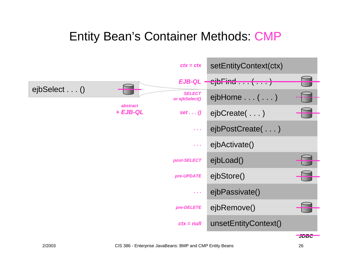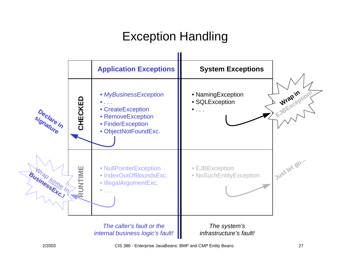## Exception Handling

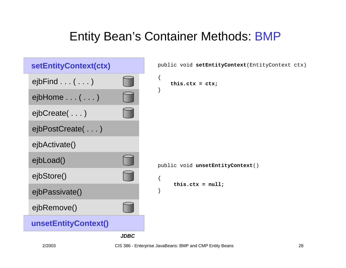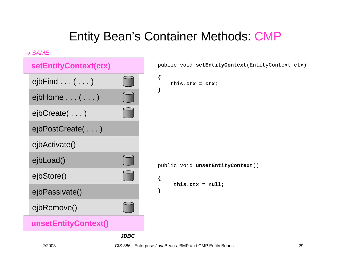

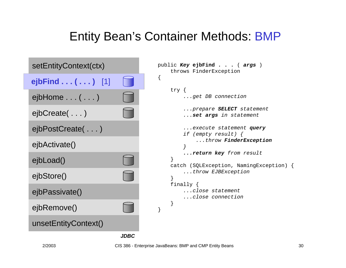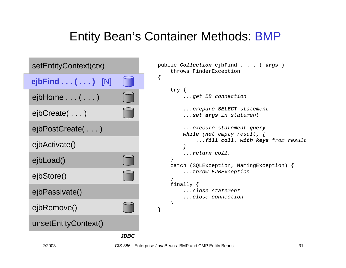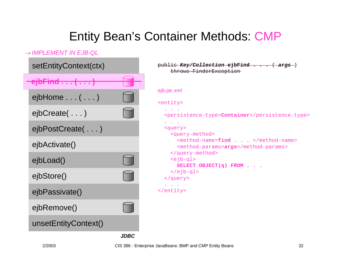#### → *IMPLEMENT IN EJB-QL*

| setEntityContext(ctx)                                    | public Key/Collection ejbFind                                                                                                                          |
|----------------------------------------------------------|--------------------------------------------------------------------------------------------------------------------------------------------------------|
| <u>ila Finadol de la l</u><br>$G$ <sub>l</sub> ur mu ( ) | throws FinderException                                                                                                                                 |
| $ejbHome \ldots (\ldots)$                                | ejb-jar.xml<br><entity></entity>                                                                                                                       |
| $eibCreate$                                              | $\mathbf{a}^{\prime}$ , $\mathbf{a}^{\prime}$ , $\mathbf{a}^{\prime}$ , $\mathbf{a}^{\prime}$<br><persistence-type><b>Container</b></persistence-type> |
| ejbPostCreate()                                          | <b>Contract Contract</b><br><query><br/><query-method></query-method></query>                                                                          |
| ejbActivate()                                            | <method-name>find </method-name><br><method-params>args</method-params>                                                                                |
| ejbLoad()                                                | <br>$\leq$ jb-ql><br>SELECT OBJECT $(q)$ FROM                                                                                                          |
| ejbStore()                                               | $\langle$ /ejb-ql><br>                                                                                                                                 |
| ejbPassivate()                                           | <b>All Contracts</b><br>                                                                                                                               |
| ejbRemove()                                              |                                                                                                                                                        |
| unsetEntityContext()                                     |                                                                                                                                                        |
| <b>JDBC</b>                                              |                                                                                                                                                        |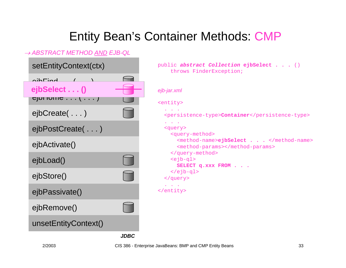#### → *ABSTRACT METHOD AND EJB-QL*

| setEntityContext(ctx)                                                 | public abstract Collection ejbSelect ()<br>throws FinderException;                       |
|-----------------------------------------------------------------------|------------------------------------------------------------------------------------------|
| $\n  nih$<br>$\sqrt{1-\lambda}$<br>ejbSelect ()<br><b>The Co</b><br>E | ejb-jar.xml<br><entity></entity>                                                         |
| $eibCreate$                                                           | $\mathbf{r} = \mathbf{r} + \mathbf{r}$<br><persistence-type>Container</persistence-type> |
| ejbPostCreate()                                                       | and a state<br><query><br/><query-method></query-method></query>                         |
| ejbActivate()                                                         | <method-name>ejbSelect </method-name><br><method-params></method-params>                 |
| ejbLoad()                                                             | <br>$\leq$ jb-ql><br>SELECT q.xxx FROM                                                   |
| ejbStore()                                                            | $\langle$ /ejb-ql><br>                                                                   |
| ejbPassivate()                                                        | <b>All Street Avenue</b><br>                                                             |
| ejbRemove()                                                           |                                                                                          |
| unsetEntityContext()                                                  |                                                                                          |
| <b>JDBC</b>                                                           |                                                                                          |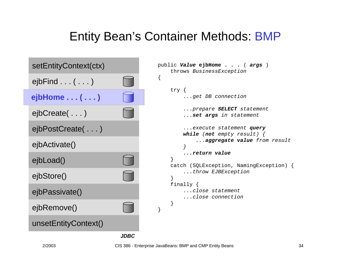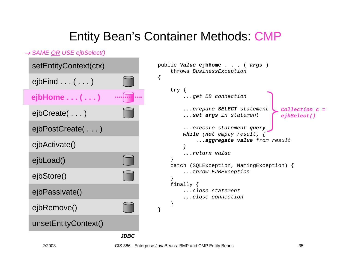#### → *SAME OR USE ejbSelect()*

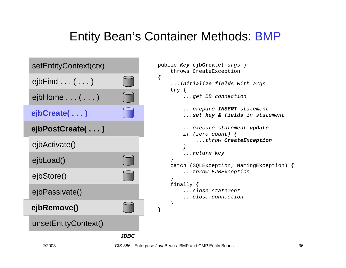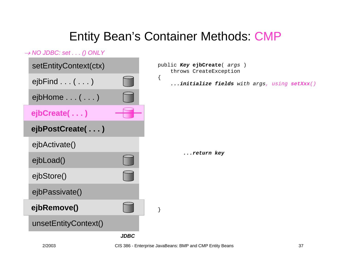#### → *NO JDBC: set . . . () ONLY*

| setEntityContext(ctx)            |             | public Key ejbCreate ( args )<br>throws CreateException |  |  |
|----------------------------------|-------------|---------------------------------------------------------|--|--|
| $ej$ bFind $\ldots$ ( $\ldots$ ) |             | initialize fields with args, using setXxx()             |  |  |
| $ejbHome \ldots (\ldots)$        |             |                                                         |  |  |
| ejbCreate()                      |             |                                                         |  |  |
| ejbPostCreate()                  |             |                                                         |  |  |
| ejbActivate()                    |             |                                                         |  |  |
| ejbLoad()                        |             | return key                                              |  |  |
| ejbStore()                       |             |                                                         |  |  |
| ejbPassivate()                   |             |                                                         |  |  |
| ejbRemove()                      |             |                                                         |  |  |
| unsetEntityContext()             |             |                                                         |  |  |
|                                  | <b>JDBC</b> |                                                         |  |  |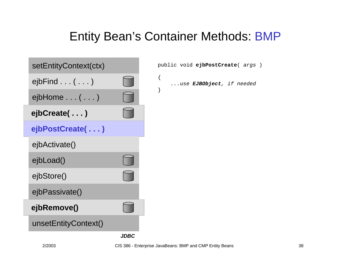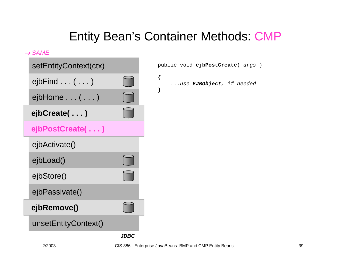#### → *SAME*

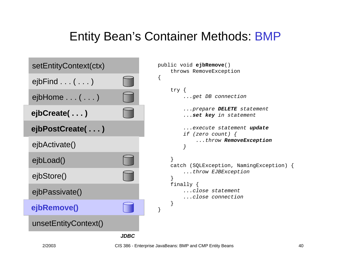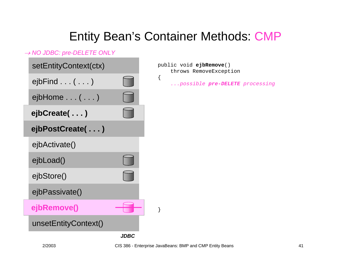{

#### → *NO JDBC: pre-DELETE ONLY*

| setEntityContext(ctx)            |                    |
|----------------------------------|--------------------|
| $e$ jbFind $\ldots$ ( $\ldots$ ) |                    |
| $e$ jbHome $\ldots$ $(\ldots)$   |                    |
| ejbCreate()                      |                    |
| ejbPostCreate()                  |                    |
| ejbActivate()                    |                    |
| ejbLoad()                        |                    |
| ejbStore()                       |                    |
| ejbPassivate()                   |                    |
| ejbRemove()                      |                    |
| unsetEntityContext()             |                    |
|                                  | <i><b>JDBC</b></i> |

public void **ejbRemove**() throws RemoveException

*...possible pre-DELETE processing*

}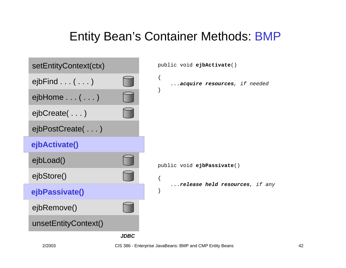

2/2003 CIS 386 - Enterprise JavaBeans: BMP and CMP Entity Beans 42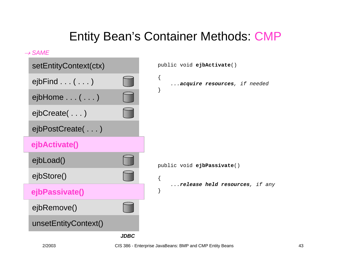

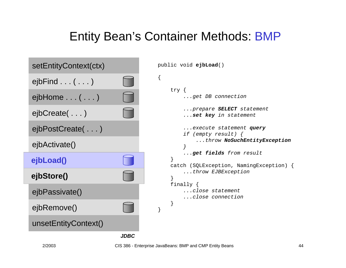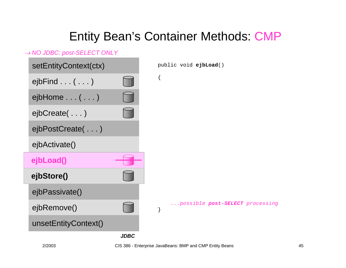#### → *NO JDBC: post-SELECT ONLY*

| setEntityContext(ctx)     |             | public void ejbLoad()                |
|---------------------------|-------------|--------------------------------------|
| $ejbFind$ $($ $)$         |             | $\{$                                 |
| $ejbHome \ldots (\ldots)$ |             |                                      |
| ejbCreate()               |             |                                      |
| ejbPostCreate()           |             |                                      |
| ejbActivate()             |             |                                      |
| ejbLoad()                 |             |                                      |
| ejbStore()                |             |                                      |
| ejbPassivate()            |             |                                      |
| ejbRemove()               |             | possible post-SELECT processing<br>} |
| unsetEntityContext()      |             |                                      |
|                           | <b>JDBC</b> |                                      |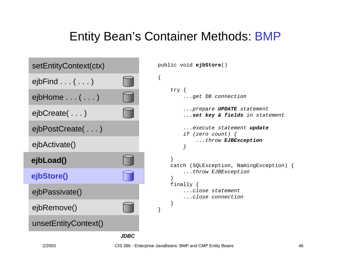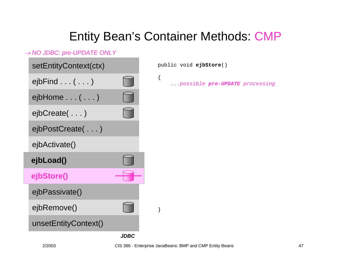{

#### → *NO JDBC: pre-UPDATE ONLY*

| setEntityContext(ctx)            |  |
|----------------------------------|--|
| $e$ jbFind $\ldots$ ( $\ldots$ ) |  |
| ejbHome ( )                      |  |
| ejbCreate()                      |  |
| ejbPostCreate()                  |  |
| ejbActivate()                    |  |
| ejbLoad()                        |  |
| ejbStore()                       |  |
|                                  |  |
| ejbPassivate()                   |  |
| ejbRemove()                      |  |
| unsetEntityContext()             |  |

public void **ejbStore**()

*...possible pre-UPDATE processing*

}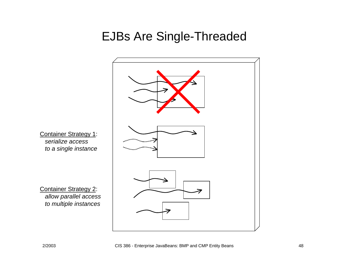#### EJBs Are Single-Threaded